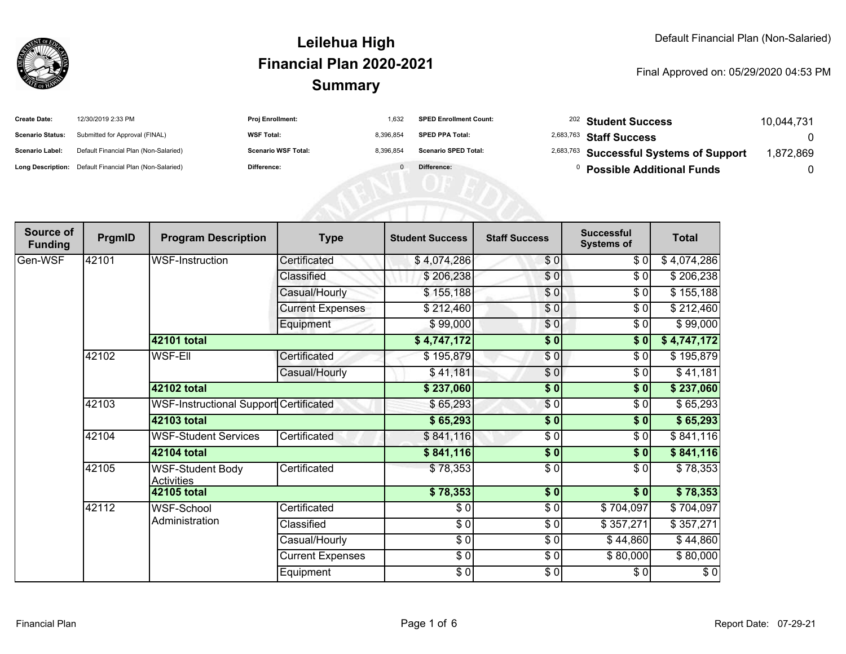

#### Final Approved on: 05/29/2020 04:53 PM

| <b>Create Date:</b>     | 12/30/2019 2:33 PM                                      | <b>Proj Enrollment:</b>    | 1.632     | <b>SPED Enrollment Count:</b> | <sup>202</sup> Student Success                     | 10.044.731 |
|-------------------------|---------------------------------------------------------|----------------------------|-----------|-------------------------------|----------------------------------------------------|------------|
| <b>Scenario Status:</b> | Submitted for Approval (FINAL)                          | <b>WSF Total:</b>          | 8.396.854 | <b>SPED PPA Total:</b>        | <sup>2,683,763</sup> Staff Success                 |            |
| <b>Scenario Label:</b>  | Default Financial Plan (Non-Salaried)                   | <b>Scenario WSF Total:</b> | 8.396.854 | <b>Scenario SPED Total:</b>   | <sup>2,683,763</sup> Successful Systems of Support | 872,869.   |
|                         | Long Description: Default Financial Plan (Non-Salaried) | Difference:                |           | Difference:                   | <b>Possible Additional Funds</b>                   |            |

NEN1 UF ED

| Source of<br><b>Funding</b> | PrgmID | <b>Program Description</b>                    | <b>Type</b>             | <b>Student Success</b> | <b>Staff Success</b>      | <b>Successful</b><br><b>Systems of</b> | <b>Total</b> |
|-----------------------------|--------|-----------------------------------------------|-------------------------|------------------------|---------------------------|----------------------------------------|--------------|
| Gen-WSF                     | 42101  | <b>WSF-Instruction</b>                        | Certificated            | \$4,074,286            | \$0]                      | \$0                                    | \$4,074,286  |
|                             |        |                                               | Classified              | \$206,238              | \$0                       | \$0                                    | \$206,238    |
|                             |        |                                               | Casual/Hourly           | \$155,188              | \$0                       | \$0                                    | \$155,188    |
|                             |        |                                               | <b>Current Expenses</b> | \$212,460              | \$0                       | \$0                                    | \$212,460    |
|                             |        |                                               | Equipment               | \$99,000               | \$0                       | \$0                                    | \$99,000     |
|                             |        | 42101 total                                   |                         | \$4,747,172            | $\frac{1}{2}$             | $\frac{1}{2}$                          | \$4,747,172  |
|                             | 42102  | <b>WSF-EII</b>                                | Certificated            | \$195,879              | \$0]                      | \$0                                    | \$195,879    |
|                             |        |                                               | Casual/Hourly           | \$41,181               | \$0                       | \$0                                    | \$41,181     |
|                             |        | 42102 total                                   |                         | \$237,060              | \$0                       | \$0                                    | \$237,060    |
|                             | 42103  | <b>WSF-Instructional Support Certificated</b> |                         | \$65,293               | $\sqrt{6}$                | \$0                                    | \$65,293     |
|                             |        | 42103 total                                   |                         | \$65,293               | \$0                       | \$0                                    | \$65,293     |
|                             | 42104  | <b>WSF-Student Services</b>                   | Certificated            | \$841,116              | $\frac{3}{2}$             | \$0                                    | \$841,116    |
|                             |        | 42104 total                                   |                         | \$841,116              | \$0                       | \$0                                    | \$841,116    |
|                             | 42105  | <b>WSF-Student Body</b><br><b>Activities</b>  | Certificated            | \$78,353               | \$0                       | \$0                                    | \$78,353     |
|                             |        | 42105 total                                   |                         | \$78,353               | $\overline{\textbf{S}^0}$ | $\overline{\$0}$                       | \$78,353     |
|                             | 42112  | <b>WSF-School</b>                             | Certificated            | \$0                    | \$0                       | \$704,097                              | \$704,097    |
|                             |        | Administration                                | Classified              | $\frac{1}{\sqrt{2}}$   | $\frac{6}{6}$             | \$357,271                              | \$357,271    |
|                             |        |                                               | Casual/Hourly           | $\sqrt{50}$            | $\frac{6}{6}$             | \$44,860                               | \$44,860     |
|                             |        |                                               | <b>Current Expenses</b> | $\sqrt{50}$            | \$0                       | \$80,000                               | \$80,000     |
|                             |        |                                               | Equipment               | $\sqrt{50}$            | \$0                       | \$0                                    | $\sqrt{6}$   |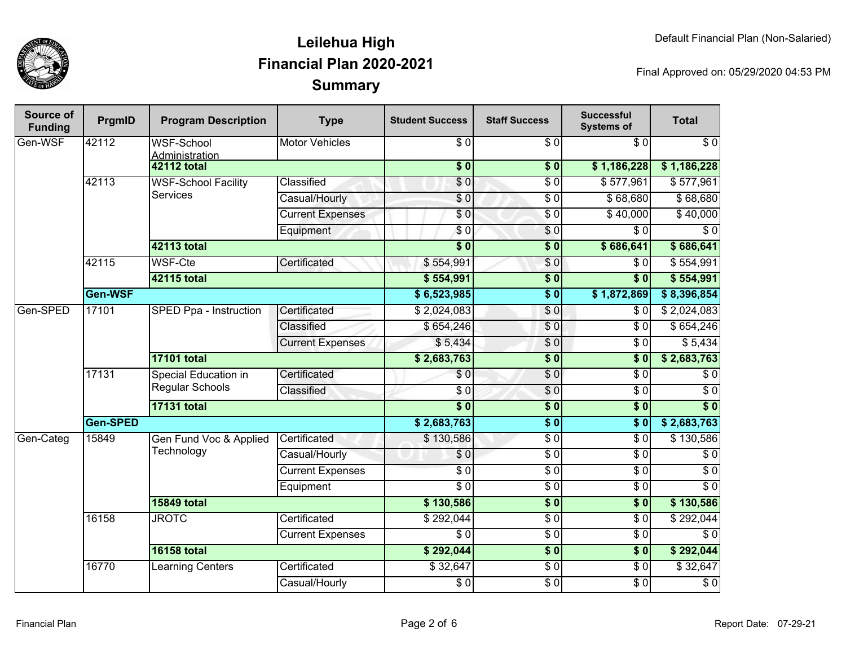

| Source of<br><b>Funding</b> | PrgmID   | <b>Program Description</b>              | <b>Type</b>             | <b>Student Success</b>  | <b>Staff Success</b>     | <b>Successful</b><br><b>Systems of</b> | <b>Total</b>     |                  |
|-----------------------------|----------|-----------------------------------------|-------------------------|-------------------------|--------------------------|----------------------------------------|------------------|------------------|
| Gen-WSF                     | 42112    | <b>WSF-School</b><br>Administration     | <b>Motor Vehicles</b>   | $\overline{\$}0$        | $\overline{\$0}$         | $\overline{30}$                        | $\overline{\$0}$ |                  |
|                             |          | <b>42112 total</b>                      |                         | $\overline{\$0}$        | $\overline{\textbf{50}}$ | \$1,186,228                            | \$1,186,228      |                  |
|                             | 42113    | <b>WSF-School Facility</b>              | Classified              | \$0                     | $\overline{\$0}$         | \$577,961                              | \$577,961        |                  |
|                             |          | <b>Services</b>                         | Casual/Hourly           | \$0                     | $\overline{$}0$          | \$68,680                               | \$68,680         |                  |
|                             |          |                                         | <b>Current Expenses</b> | \$0                     | $\overline{\$0}$         | \$40,000                               | \$40,000         |                  |
|                             |          |                                         | Equipment               | $\overline{\$0}$        | $\overline{\$0}$         | $\overline{\$0}$                       | $\overline{\$0}$ |                  |
|                             |          | 42113 total                             |                         | $\overline{\$0}$        | $\sqrt{6}$               | \$686,641                              | \$686,641        |                  |
|                             | 42115    | <b>WSF-Cte</b>                          | Certificated            | \$554,991               | \$0                      | \$0                                    | \$554,991        |                  |
|                             |          | 42115 total                             |                         | \$554,991               | $\sqrt{6}$               | s <sub>0</sub>                         | \$554,991        |                  |
|                             | Gen-WSF  |                                         |                         | \$6,523,985             | $\overline{\$0}$         | \$1,872,869                            | \$8,396,854      |                  |
| Gen-SPED                    | 17101    | SPED Ppa - Instruction                  | Certificated            | \$2,024,083             | $\sqrt{0}$               | \$0                                    | \$2,024,083      |                  |
|                             |          |                                         | Classified              | \$654,246               | $\overline{\$0}$         | $\overline{\$0}$                       | \$654,246        |                  |
|                             |          |                                         | <b>Current Expenses</b> | \$5,434                 | $\overline{\$0}$         | \$0                                    | \$5,434          |                  |
|                             |          | <b>17101 total</b>                      |                         | \$2,683,763             | $\overline{\$0}$         | $\overline{\$}0$                       | \$2,683,763      |                  |
|                             | 17131    | Special Education in<br>Regular Schools | Certificated            | $\overline{\$0}$        | $\overline{\$0}$         | $\overline{\$0}$                       | $\overline{\$0}$ |                  |
|                             |          |                                         | Classified              | $\overline{\$0}$        | $\overline{\$0}$         | $\overline{\$0}$                       | $\overline{\$0}$ |                  |
|                             |          | <b>17131 total</b>                      |                         | $\overline{\$0}$        | $\sqrt{6}$               | $\overline{\$0}$                       | $\overline{\$0}$ |                  |
|                             | Gen-SPED |                                         |                         | \$2,683,763             | $\overline{\$0}$         | $\overline{\textbf{50}}$               | \$2,683,763      |                  |
| Gen-Categ                   | 15849    | Gen Fund Voc & Applied                  | Certificated            | \$130,586               | $\overline{\$0}$         | $\overline{\$0}$                       | \$130,586        |                  |
|                             |          | Technology                              |                         | Casual/Hourly           | \$0                      | $\overline{\$0}$                       | $\overline{\$0}$ | $\overline{\$0}$ |
|                             |          |                                         |                         | <b>Current Expenses</b> | $\overline{\$0}$         | $\overline{$}0$                        | $\overline{\$0}$ | $\overline{\$0}$ |
|                             |          |                                         | Equipment               | $\overline{\$0}$        | $\overline{\$0}$         | $\overline{\$0}$                       | $\overline{\$0}$ |                  |
|                             |          | <b>15849 total</b>                      |                         | \$130,586               | $\overline{\$0}$         | $\overline{\$0}$                       | \$130,586        |                  |
|                             | 16158    | <b>JROTC</b>                            | Certificated            | \$292,044               | $\overline{\$0}$         | $\overline{\$0}$                       | \$292,044        |                  |
|                             |          |                                         | <b>Current Expenses</b> | $\overline{\$0}$        | $\overline{\$0}$         | $\overline{\$0}$                       | $\overline{\$0}$ |                  |
|                             |          | <b>16158 total</b>                      |                         | \$292,044               | $\sqrt{6}$               | $\overline{\$0}$                       | \$292,044        |                  |
|                             | 16770    | <b>Learning Centers</b>                 | Certificated            | \$32,647                | $\overline{$}0$          | $\overline{\$0}$                       | \$32,647         |                  |
|                             |          |                                         | Casual/Hourly           | $\overline{\$0}$        | $\overline{\$0}$         | $\overline{\$0}$                       | $\overline{\$0}$ |                  |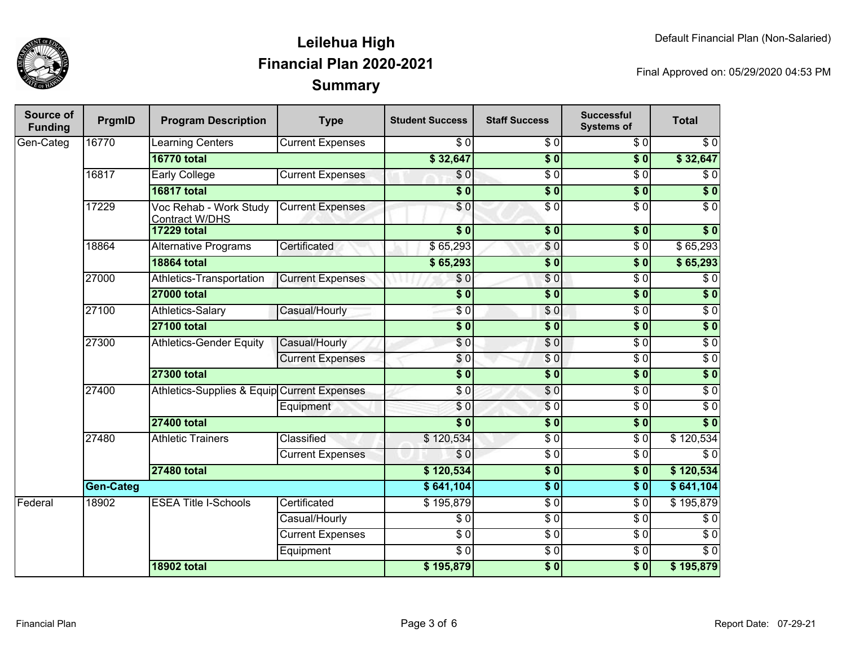

| Source of<br><b>Funding</b> | PrgmID           | <b>Program Description</b>                      | <b>Type</b>                                 | <b>Student Success</b> | <b>Staff Success</b> | <b>Successful</b><br><b>Systems of</b> | <b>Total</b>     |                  |
|-----------------------------|------------------|-------------------------------------------------|---------------------------------------------|------------------------|----------------------|----------------------------------------|------------------|------------------|
| Gen-Categ                   | 16770            | Learning Centers                                | <b>Current Expenses</b>                     | $\sqrt{6}$             | $\overline{\$0}$     | $\sqrt{6}$                             | $\overline{\$0}$ |                  |
|                             |                  | <b>16770 total</b>                              |                                             | \$32,647               | $\overline{\$0}$     | $\overline{\$0}$                       | \$32,647         |                  |
|                             | 16817            | <b>Early College</b>                            | <b>Current Expenses</b>                     | $\overline{S}0$        | $\overline{30}$      | $\overline{\$0}$                       | $\sqrt{6}$       |                  |
|                             |                  | <b>16817 total</b>                              |                                             | $\overline{\$0}$       | $\overline{\$0}$     | $\overline{\$0}$                       | $\overline{\$0}$ |                  |
|                             | 17229            | Voc Rehab - Work Study<br><b>Contract W/DHS</b> | <b>Current Expenses</b>                     | \$0                    | $\overline{30}$      | $\overline{\$0}$                       | $\overline{S}0$  |                  |
|                             |                  | <b>17229 total</b>                              |                                             | $\overline{\$0}$       | $\overline{\$}0$     | $\overline{\$0}$                       | $\overline{\$0}$ |                  |
|                             | 18864            | Alternative Programs                            | Certificated                                | \$65,293               | \$0                  | $\overline{\$0}$                       | \$65,293         |                  |
|                             |                  | <b>18864 total</b>                              |                                             | \$65,293               | $\overline{\$0}$     | $\overline{\$0}$                       | \$65,293         |                  |
|                             | 27000            | Athletics-Transportation                        | <b>Current Expenses</b>                     | \$0                    | \$0                  | $\overline{\$0}$                       | $\overline{\$0}$ |                  |
|                             |                  | <b>27000 total</b>                              |                                             | $\overline{\$}0$       | $\overline{\$0}$     | $\overline{\$0}$                       | $\overline{\$0}$ |                  |
|                             | 27100            | Athletics-Salary                                | Casual/Hourly                               | \$0                    | \$0                  | $\overline{\$0}$                       | $\overline{\$0}$ |                  |
|                             |                  | <b>27100 total</b>                              |                                             | $\overline{\$0}$       | $\overline{\$0}$     | $\sqrt{6}$                             | $\sqrt{6}$       |                  |
|                             | 27300            | <b>Athletics-Gender Equity</b>                  | Casual/Hourly                               | $\overline{\$0}$       | $\overline{\$0}$     | $\overline{\$0}$                       | $\overline{$}0$  |                  |
|                             |                  |                                                 | <b>Current Expenses</b>                     | \$0                    | $\sqrt{6}$           | $\overline{\$0}$                       | $\overline{$}0$  |                  |
|                             |                  | <b>27300 total</b>                              |                                             | $\overline{\bullet}$   | $\overline{\$0}$     | $\overline{\$0}$                       | $\overline{\$0}$ |                  |
|                             | 27400            |                                                 | Athletics-Supplies & Equip Current Expenses |                        | $\overline{30}$      | \$0                                    | \$0              | $\overline{\$0}$ |
|                             |                  |                                                 | Equipment                                   | \$0                    | $\overline{\$0}$     | $\overline{$}0$                        | $\overline{$}0$  |                  |
|                             |                  | <b>27400 total</b>                              | $\overline{\$0}$                            | $\overline{\$0}$       | $\overline{\$0}$     | $\overline{\$0}$                       |                  |                  |
|                             | 27480            | <b>Athletic Trainers</b>                        | Classified                                  | \$120,534              | $\overline{\$0}$     | $\overline{\$0}$                       | \$120,534        |                  |
|                             |                  |                                                 | <b>Current Expenses</b>                     | \$0                    | $\overline{\$0}$     | $\overline{\$0}$                       | $\overline{\$0}$ |                  |
|                             |                  | <b>27480 total</b>                              |                                             | \$120,534              | $\overline{\$0}$     | $\overline{\$0}$                       | \$120,534        |                  |
|                             | <b>Gen-Categ</b> |                                                 |                                             | \$641,104              | $\overline{\$0}$     | $\overline{\$0}$                       | \$641,104        |                  |
| Federal                     | 18902            | <b>ESEA Title I-Schools</b>                     | Certificated                                | \$195,879              | $\overline{\$0}$     | $\overline{\$0}$                       | \$195,879        |                  |
|                             |                  |                                                 | Casual/Hourly                               | $\overline{\$0}$       | $\overline{\$0}$     | $\overline{\$0}$                       | \$0              |                  |
|                             |                  |                                                 | <b>Current Expenses</b>                     | $\overline{\$0}$       | $\overline{\$0}$     | $\overline{\$0}$                       | $\overline{\$0}$ |                  |
|                             |                  |                                                 | Equipment                                   | $\overline{\$0}$       | $\overline{\$0}$     | $\overline{\$0}$                       | $\overline{\$0}$ |                  |
|                             |                  | <b>18902 total</b>                              |                                             | \$195,879              | $\overline{\$0}$     | $\sqrt{6}$                             | \$195,879        |                  |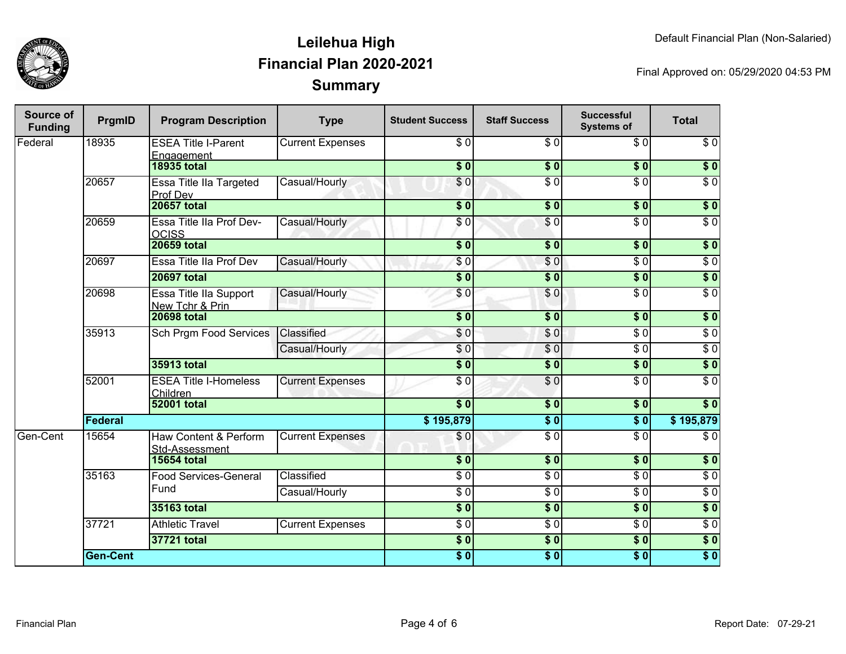

| Source of<br><b>Funding</b> | PrgmID          | <b>Program Description</b>                | <b>Type</b>                   | <b>Student Success</b>   | <b>Staff Success</b>   | <b>Successful</b><br><b>Systems of</b> | <b>Total</b>     |                  |
|-----------------------------|-----------------|-------------------------------------------|-------------------------------|--------------------------|------------------------|----------------------------------------|------------------|------------------|
| Federal                     | 18935           | <b>ESEA Title I-Parent</b><br>Engagement  | <b>Current Expenses</b>       | \$0                      | $\overline{\$0}$       | \$0                                    | $\overline{\$0}$ |                  |
|                             |                 | <b>18935 total</b>                        |                               | $\overline{\$0}$         | $\overline{\$0}$       | $\overline{\$0}$                       | $\overline{\$0}$ |                  |
|                             | 20657           | Essa Title IIa Targeted<br>Prof Dev       | Casual/Hourly                 | \$0                      | $\overline{\$0}$       | $\overline{\$0}$                       | $\overline{\$0}$ |                  |
|                             |                 | <b>20657 total</b>                        |                               | $\overline{\bullet}$     | \$0                    | $\overline{\$0}$                       | $\overline{\$0}$ |                  |
|                             | 20659           | Essa Title IIa Prof Dev-<br><b>OCISS</b>  | Casual/Hourly                 | \$0                      | $\overline{S}0$        | $\overline{\$0}$                       | $\overline{S}0$  |                  |
|                             |                 | <b>20659 total</b>                        |                               | $\overline{\$0}$         | $\overline{\bullet}$ 0 | $\overline{\$0}$                       | $\overline{\$0}$ |                  |
|                             | 20697           | Essa Title IIa Prof Dev                   | Casual/Hourly                 | \$0                      | \$0                    | $\overline{\$0}$                       | $\overline{\$0}$ |                  |
|                             |                 | <b>20697 total</b>                        |                               | $\overline{\$0}$         | $\overline{\$0}$       | $\overline{\$0}$                       | $\overline{\$0}$ |                  |
|                             | 20698           | Essa Title IIa Support<br>New Tchr & Prin | Casual/Hourly                 | \$0                      | \$0                    | $\overline{\$0}$                       | $\sqrt{6}$       |                  |
|                             |                 | <b>20698 total</b>                        |                               | $\overline{\textbf{50}}$ | \$0                    | $\overline{\textbf{50}}$               | $\sqrt{6}$       |                  |
|                             | 35913           |                                           | <b>Sch Prgm Food Services</b> | Classified               | $\overline{\$0}$       | \$0                                    | $\overline{30}$  | $\overline{\$0}$ |
|                             |                 |                                           | Casual/Hourly                 | $\sqrt{6}$               | $\overline{\$0}$       | $\overline{\$0}$                       | $\overline{30}$  |                  |
|                             |                 | 35913 total                               |                               | $\overline{\$0}$         | $\overline{\$0}$       | $\overline{\textbf{50}}$               | $\sqrt{6}$       |                  |
|                             | 52001           | <b>ESEA Title I-Homeless</b><br>Children  | <b>Current Expenses</b>       | $\overline{\$0}$         | $\overline{30}$        | $\overline{\$0}$                       | $\overline{\$0}$ |                  |
|                             |                 | <b>52001 total</b>                        |                               | $\overline{\$0}$         | $\overline{\$0}$       | $\overline{\$0}$                       | $\overline{\$0}$ |                  |
|                             | <b>Federal</b>  |                                           |                               | \$195,879                | $\overline{\$0}$       | $\overline{\$0}$                       | \$195,879        |                  |
| Gen-Cent                    | 15654           | Haw Content & Perform<br>Std-Assessment   | <b>Current Expenses</b>       | \$0                      | $\overline{S}0$        | $\sqrt{6}$                             | $\sqrt{6}$       |                  |
|                             |                 | <b>15654 total</b>                        |                               | $\overline{\$0}$         | $\overline{\$0}$       | $\overline{\$0}$                       | $\overline{\$0}$ |                  |
|                             | 35163           | <b>Food Services-General</b>              | Classified                    | $\overline{\$0}$         | $\overline{\$0}$       | $\overline{\$0}$                       | $\overline{\$0}$ |                  |
|                             |                 | Fund                                      | Casual/Hourly                 | $\overline{\$0}$         | $\overline{30}$        | $\overline{S}0$                        | $\overline{\$0}$ |                  |
|                             |                 | 35163 total                               |                               | $\overline{\$0}$         | $\overline{\$0}$       | $\overline{\$0}$                       | $\overline{\$0}$ |                  |
|                             | 37721           | <b>Athletic Travel</b>                    | <b>Current Expenses</b>       | $\overline{S}0$          | $\overline{30}$        | $\overline{\$0}$                       | $\overline{30}$  |                  |
|                             |                 | 37721 total                               |                               | $\overline{\$0}$         | $\overline{\$0}$       | $\overline{\$0}$                       | $\overline{\$0}$ |                  |
|                             | <b>Gen-Cent</b> |                                           |                               | $\overline{\$0}$         | $\overline{\$0}$       | $\overline{\$0}$                       | $\overline{\$0}$ |                  |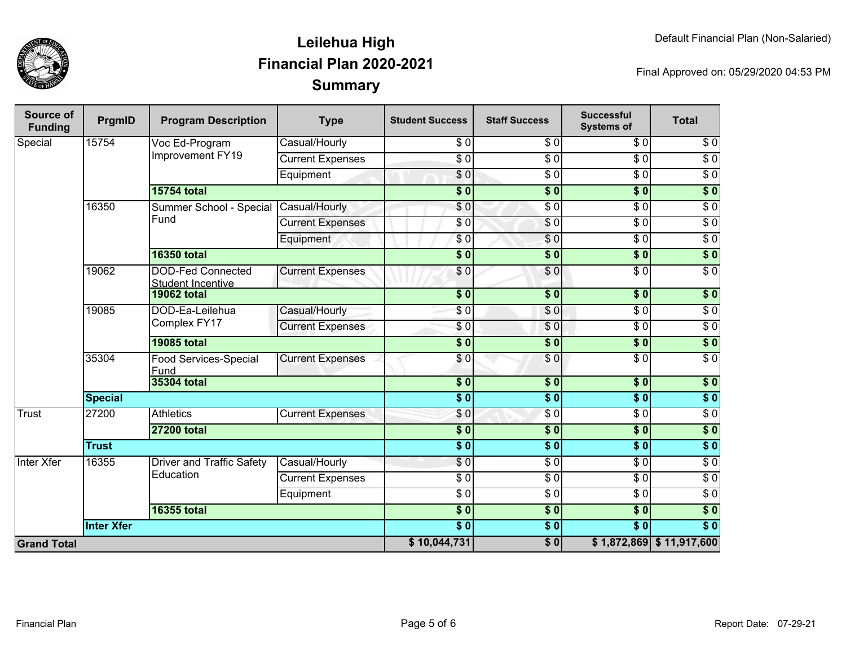

| <b>Source of</b><br><b>Funding</b> | PrgmID            | <b>Program Description</b>                           | <b>Type</b>             | <b>Student Success</b>     | <b>Staff Success</b> | <b>Successful</b><br><b>Systems of</b> | <b>Total</b>               |
|------------------------------------|-------------------|------------------------------------------------------|-------------------------|----------------------------|----------------------|----------------------------------------|----------------------------|
| Special                            | 15754             | Voc Ed-Program<br>Improvement FY19                   | Casual/Hourly           | \$0                        | $\overline{\$0}$     | $\overline{\$0}$                       | $\sqrt{6}$                 |
|                                    |                   |                                                      | <b>Current Expenses</b> | $\overline{\frac{1}{5}}$   | $\overline{S}0$      | $\overline{\$0}$                       | $\overline{\$0}$           |
|                                    |                   |                                                      | Equipment               | $\overline{\$0}$           | $\sqrt{6}$           | $\overline{\$0}$                       | $\sqrt{6}$                 |
|                                    |                   | <b>15754 total</b>                                   |                         | $\overline{\phantom{0}50}$ | $\overline{\$0}$     | $\overline{\$0}$                       | $\sqrt{50}$                |
|                                    | 16350             | Summer School - Special                              | Casual/Hourly           | $\overline{\$0}$           | $\overline{50}$      | $\overline{\$0}$                       | $\overline{\$0}$           |
|                                    |                   | Fund                                                 | <b>Current Expenses</b> | \$0                        | $\sqrt{6}$           | $\overline{50}$                        | $\overline{\$0}$           |
|                                    |                   |                                                      | Equipment               | \$0                        | $\overline{\$}$      | $\sqrt{6}$                             | $\sqrt{6}$                 |
|                                    |                   | <b>16350 total</b>                                   |                         | $\overline{\phantom{0}50}$ | $\overline{\$0}$     | $\overline{\$0}$                       | $\overline{\$0}$           |
|                                    | 19062             | <b>DOD-Fed Connected</b><br><b>Student Incentive</b> | <b>Current Expenses</b> | \$0                        | \$0                  | $\overline{S}0$                        | $\overline{\$0}$           |
|                                    |                   | <b>19062 total</b>                                   |                         | $\overline{\phantom{0}5}$  | $\frac{1}{2}$        | $\overline{\$0}$                       | $\overline{\$0}$           |
|                                    | 19085             | DOD-Ea-Leilehua<br>Complex FY17                      | Casual/Hourly           | $\overline{\$0}$           | \$0                  | $\overline{\$0}$                       | $\overline{\$0}$           |
|                                    |                   |                                                      | <b>Current Expenses</b> | \$0                        | \$0                  | $\overline{\$0}$                       | $\overline{\$0}$           |
|                                    |                   | <b>19085 total</b>                                   |                         | $\overline{\$0}$           | $\frac{1}{2}$        | $\overline{\$0}$                       | $\overline{\$}0$           |
|                                    | 35304             | <b>Food Services-Special</b><br>Fund                 | <b>Current Expenses</b> | \$0                        | \$0                  | $\overline{\$0}$                       | $\overline{\$0}$           |
|                                    |                   | <b>35304 total</b>                                   |                         | $\overline{\bullet}$       | $\overline{\bullet}$ | $\overline{\$0}$                       | $\overline{\$}0$           |
|                                    | <b>Special</b>    |                                                      |                         | $\overline{\$0}$           | s <sub>0</sub>       | $\overline{\$0}$                       | $\overline{\$}0$           |
| <b>Trust</b>                       | 27200             | <b>Athletics</b>                                     | <b>Current Expenses</b> | $\frac{6}{3}$              | $\sqrt{6}$           | $\sqrt{6}$                             | $\sqrt{6}$                 |
|                                    |                   | <b>27200 total</b>                                   |                         | $\overline{\$0}$           | $\sqrt{6}$           | $\overline{\$0}$                       | $\overline{\$}0$           |
|                                    | <b>Trust</b>      |                                                      |                         | $\overline{\$0}$           | \$0                  | $\overline{\$0}$                       | $\overline{\$}0$           |
| <b>Inter Xfer</b>                  | 16355             | <b>Driver and Traffic Safety</b>                     | Casual/Hourly           | \$0                        | $\overline{S}0$      | $\overline{\$0}$                       | $\sqrt{6}$                 |
|                                    |                   | Education                                            | <b>Current Expenses</b> | \$ 0                       | $\frac{3}{2}$        | $\overline{\$0}$                       | $\sqrt{6}$                 |
|                                    |                   |                                                      | Equipment               | \$0                        | $\overline{\$0}$     | $\overline{S}0$                        | $\overline{\$0}$           |
|                                    |                   | <b>16355 total</b>                                   |                         | \$0                        | $\overline{\$0}$     | $\overline{\$0}$                       | $\overline{\$}0$           |
|                                    | <b>Inter Xfer</b> |                                                      |                         | $\overline{\bullet}$       | $\sqrt{6}$           | $\overline{\$0}$                       | $\overline{\$0}$           |
| <b>Grand Total</b>                 |                   |                                                      |                         | \$10,044,731               | $\overline{\$0}$     |                                        | $$1,872,869$ $$11,917,600$ |